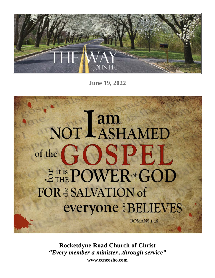

**June 19, 2022**



**Rocketdyne Road Church of Christ** *"Every member a minister...through service"* **www.ccneosho.com**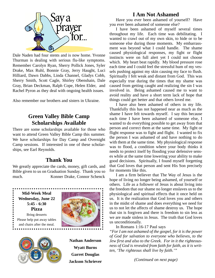

Dale Naden had four stents and is now home. Yvonne Thurman is dealing with serious flu-like symptoms. Remember Carolyn Ryan, Sherry Pollick Jones, Syler Drake, Max Ruhl, Bonnie Gray, Jerry Haught, Luci Hilliard, Dawn Dabbs, Linda Channel, Gladys Cobb, Sherry Smith, Scott Cagle, Shirley Obenshain, Dale Gray, Brian Deckman, Ralph Cope, Helen Elder, and Rachel Pyron as they deal with ongoing health issues.

Also remember our brothers and sisters in Ukraine.

# **Green Valley Bible Camp Scholarships Available**

There are some scholarships available for those who want to attend Green Valley Bible Camp this summer. We have scholarships for Day Camp and Overnight Camp sessions. If interested in one of these scholarships, see Earl Reynolds.

# **Thank You**

We greatly appreciate the cards, money, gift cards, and Bible given to us on Graduation Sunday. Thank you so much. Konner Drake, Connor Schenck

**Mid-Week Meal Wednesday, June 22 5:45 - 6:30 Pizza** Bring desserts Please help put away tables

. . . . . . . . . . . . . . .

and chairs after the meal.





**Nathan Anderson Wyatt Burns Garret Douglas Jackson Schriever**

# **I Am Not Ashamed**

 Have you ever been ashamed of yourself? Have you ever been ashamed of someone else?

 I have been ashamed of myself several times throughout my life. Each time was debilitating. I wanted to crawl out of my own skin, to hide or to be someone else during those moments. My embarrassment was beyond what I could handle. The shame caused physiological responses, my fight or flight instincts were on full alert yet I could not choose which. My heart beat rapidly. My blood pressure rose each time and I could feel the stressful hum of my vessels pushing against my skin causing my face to flush. Spiritually I felt weak and distant from God. This was especially true during the times that my shame was caused from getting caught and realizing the sin I was involved in. Being ashamed caused me to want to avoid reality and have a short term lack of hope that things could get better and that others loved me.

 I have also been ashamed of others in my life. Thankfully this has not happened near as much as the shame I have felt towards myself. I say this because each time I have been ashamed of someone else, I wanted to do everything possible to get away from that person and correct them at the same time. My fight or flight response was to fight and flight. I wanted to fix the person I was ashamed of and have nothing to do with them at the same time. My physiological response was to flood, a condition where your body thinks it needs to protect itself by flooding your defensive senses while at the same time lowering your ability to make good decisions. Spiritually, I found myself forgetting that God loves that person and sent His Son precisely for moments like this.

 I am a firm believer that The Way of Jesus is the hope of living no longer being ashamed, of yourself or others. Life as a follower of Jesus is about living into the freedom that our shame no longer enslaves us to the physiological and spiritual effects that it once held on us. It is the realization that God loves you and others in the midst of shame and does everything we need for us to not let the affects of shame destroy us. The hope that sin is forgiven and there is freedom to sin less as we are made sinless in Jesus. The truth that God loves us unconditionally.

In Romans 1:16-17 Paul says

*"For I am not ashamed of the gospel, for it is the power of God for salvation to everyone who believes, to the Jew first and also to the Greek. For in it the righteousness of God is revealed from faith for faith, as it is written, 'The righteous shall live by faith.'"*

*(Continued on next page)*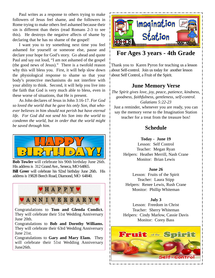Paul writes as a response to others trying to make followers of Jesus feel shame, and the followers in Rome trying to make others feel ashamed because their sin is different than theirs (read Romans 2-3 to see this). He destroys the negative affects of shame by declaring that he has no shame of the gospel!

 I want you to try something next time you feel ashamed for yourself or someone else, pause and declare your hope for God's story. Go ahead and quote Paul and say out loud, "I am not ashamed of the gospel (the good news of Jesus)." There is a twofold reason why this will bless you. First, it will help slow down the physiological response to shame so that your body's protective mechanisms do not interfere with your ability to think. Second, it will help you live into the faith that God is very much able to bless, even in these worse of situations, that He is present.

 As John declares of Jesus in John 3:16-17. *For God so loved the world that he gave his only Son, that whoever believes in him should not perish but have eternal life. For God did not send his Son into the world to condemn the world, but in order that the world might be saved through him.*



**Bob Towler** will celebrate his 90th birthday June 26th. His address is 312 Grand Ave., Seneca, MO 64865. **Bill Greer** will celebrate his 92nd birthday June 26th. His address is 19828 Beech Road, Diamond, MO 64840.



Congratulations to **Tom and Glenda Condict.** They will celebrate their 51st Wedding Anniversary June 20th.

Congratulations to **Bob and Dorothy Williams.** They will celebrate their 63rd Wedding Anniversary June 21st.

Congratulations to **Gary and Mary Elam.** They will celebrate their 51st Wedding Anniversary June26th.



# **For Ages 3 years - 4th Grade**

Thank you to Karen Pyron for teaching us a lesson about Self-control. Join us today for another lesson about Self Control, a Fruit of the Spirit.

# **June Memory Verse**

*The Spirit gives love, joy, peace, patience, kindness, goodness, faithfulness, gentleness, self-control. Galatians 5:22-23*

Just a reminder, whenever you are ready, you can say the memory verse to the Imagination Station teacher for a treat from the treasure box!

# **Schedule**

### **Today - June 19**

Lesson: Self Control Teacher: Megan Ryan Helpers: Heather Merrill, Nash Crane Monitor: Brian Lewis

### **June 26**

Lesson: Fruits of the Spirit Teacher: Laura Stipp Helpers: Renee Lewis, Rush Crane Monitor: Phillip Whiteman

### **July 3**

Lesson: Freedom in Christ Teacher: Sherry Whiteman Helpers: Cindy Marlow, Cassie Davis Monitor: Corey Bass